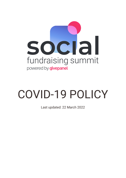

# COVID-19 POLICY

Last updated: 22 March 2022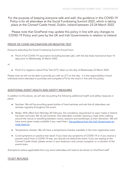For the purpose of keeping everyone safe and well, the guidance in this COVID-19 Policy is for all attendees at the Social Fundraising Summit 2022, which is taking place at the Clontarf Castle Hotel, Dublin, Ireland between 23-24 March 2022.

Please note that GivePanel may update this policy in line with any changes to COVID-19 Policy and Laws by the UK and Irish Governments in relation to Ireland.

## PROOF OF COVID VACCINATION OR NEGATIVE TEST

Everyone attending the Social Fundraising Summit should have:

Proof of full COVID-19 vaccination (including booster jab), with the last dose received at least 14 days prior to Wednesday 23 March 2022.

or

Proof of a negative Lateral Flow Test (LFT), taken on the day of Wednesday 23 March 2022.

Please note we will not be able to provide you with an LFT on the day - it is the responsibility of each individual event attendee to purchase and complete LFTs for the event in line with this policy.

# ADDITIONAL EVENT HEALTH AND SAFETY MEASURES

In addition to the above, we will also be putting the following additional health and safety measures in place:

- Sanitiser: We will be providing spare bottles of hand sanitiser and ask that all attendees use sanitiser regularly throughout the event.
- Masks: With effect from Monday 28 February, the mandatory requirement to wear masks in Ireland has been removed. We do ask however, that attendees consider wearing a mask when walking around the venue or travelling between rooms, sessions and workshops, at their discretion. We will have some spare masks available if you need them. See quidance from the Irish [Government](https://www.gov.ie/en/publication/aac74c-guidance-on-safe-use-of-face-coverings/) on mask [wearing.](https://www.gov.ie/en/publication/aac74c-guidance-on-safe-use-of-face-coverings/)
- Temperature checker: We will have a temperature checker available in the main registration area.
- Covid symptoms or positive test result: If you have any symptoms of COVID-19 or if you receive a positive result from a COVID-19 test, you should not attend the event. If you are staying at the Clontarf Castle Hotel, please remain in your bedroom and contact reception or a member of the events team.

Exemptions (where applicable) from any event attendees will need to be shown to GivePanel staff.

### TICKET REFUNDS